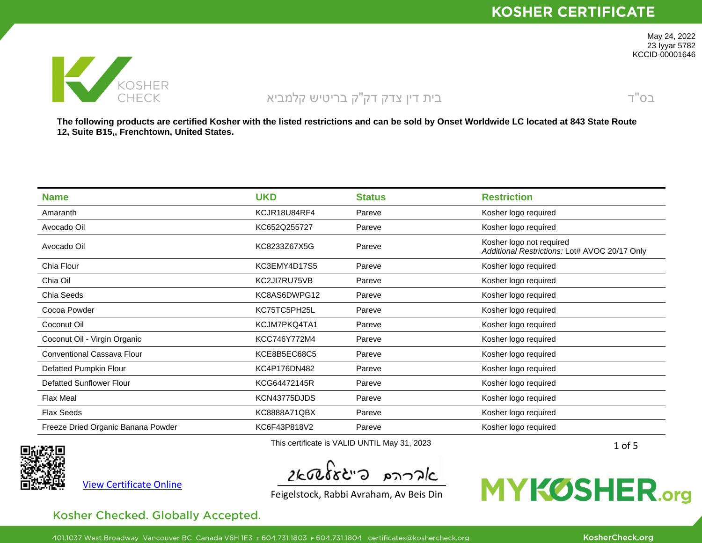

 $T''$ O $2$ 

May 24, 2022 23 Iyyar 5782 KCCID-00001646

The following products are certified Kosher with the listed restrictions and can be sold by Onset Worldwide LC located at 843 State Route **12, Suite B15,, Frenchtown, United States.**

| <b>Name</b>                        | <b>UKD</b>                                   | <b>Status</b> | <b>Restriction</b>                                                        |
|------------------------------------|----------------------------------------------|---------------|---------------------------------------------------------------------------|
| Amaranth                           | KCJR18U84RF4                                 | Pareve        | Kosher logo required                                                      |
| Avocado Oil                        | KC652Q255727                                 | Pareve        | Kosher logo required                                                      |
| Avocado Oil                        | KC8233Z67X5G                                 | Pareve        | Kosher logo not required<br>Additional Restrictions: Lot# AVOC 20/17 Only |
| Chia Flour                         | KC3EMY4D17S5                                 | Pareve        | Kosher logo required                                                      |
| Chia Oil                           | KC2JI7RU75VB                                 | Pareve        | Kosher logo required                                                      |
| Chia Seeds                         | KC8AS6DWPG12                                 | Pareve        | Kosher logo required                                                      |
| Cocoa Powder                       | KC75TC5PH25L                                 | Pareve        | Kosher logo required                                                      |
| Coconut Oil                        | KCJM7PKQ4TA1                                 | Pareve        | Kosher logo required                                                      |
| Coconut Oil - Virgin Organic       | KCC746Y772M4                                 | Pareve        | Kosher logo required                                                      |
| Conventional Cassava Flour         | KCE8B5EC68C5                                 | Pareve        | Kosher logo required                                                      |
| Defatted Pumpkin Flour             | KC4P176DN482                                 | Pareve        | Kosher logo required                                                      |
| <b>Defatted Sunflower Flour</b>    | KCG64472145R                                 | Pareve        | Kosher logo required                                                      |
| <b>Flax Meal</b>                   | KCN43775DJDS                                 | Pareve        | Kosher logo required                                                      |
| <b>Flax Seeds</b>                  | KC8888A71QBX                                 | Pareve        | Kosher logo required                                                      |
| Freeze Dried Organic Banana Powder | KC6F43P818V2                                 | Pareve        | Kosher logo required                                                      |
|                                    | This certificate is VALID UNTIL May 31, 2023 |               |                                                                           |

View [Certificate](https://mykosher.org/s/certificate?certificateId=a0y1U000008k7eB) Online

 $2k$ tolst"a produ

Feigelstock, Rabbi Avraham, Av Beis Din

### **MYKØSHER.org**

#### Kosher Checked. Globally Accepted.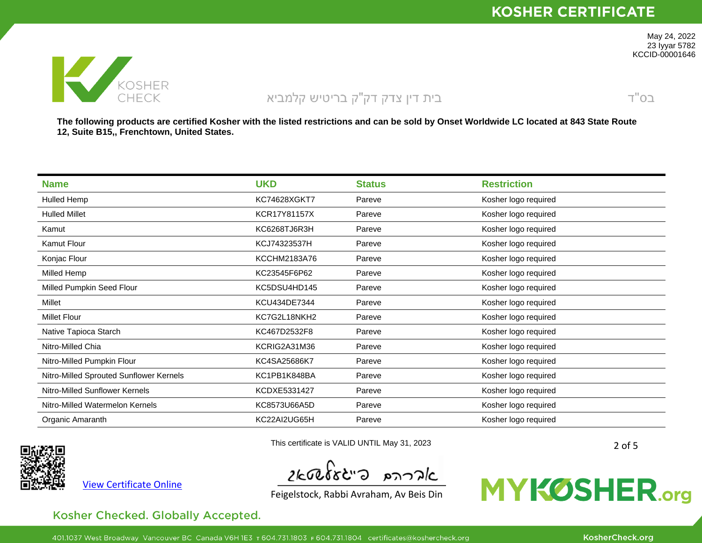

 $T''$ O $2$ 

May 24, 2022 23 Iyyar 5782 KCCID-00001646

The following products are certified Kosher with the listed restrictions and can be sold by Onset Worldwide LC located at 843 State Route **12, Suite B15,, Frenchtown, United States.**

| <b>Name</b>                             | <b>UKD</b>          | <b>Status</b> | <b>Restriction</b>   |
|-----------------------------------------|---------------------|---------------|----------------------|
| Hulled Hemp                             | <b>KC74628XGKT7</b> | Pareve        | Kosher logo required |
| <b>Hulled Millet</b>                    | KCR17Y81157X        | Pareve        | Kosher logo required |
| Kamut                                   | KC6268TJ6R3H        | Pareve        | Kosher logo required |
| Kamut Flour                             | KCJ74323537H        | Pareve        | Kosher logo required |
| Konjac Flour                            | KCCHM2183A76        | Pareve        | Kosher logo required |
| Milled Hemp                             | KC23545F6P62        | Pareve        | Kosher logo required |
| Milled Pumpkin Seed Flour               | KC5DSU4HD145        | Pareve        | Kosher logo required |
| Millet                                  | KCU434DE7344        | Pareve        | Kosher logo required |
| <b>Millet Flour</b>                     | KC7G2L18NKH2        | Pareve        | Kosher logo required |
| Native Tapioca Starch                   | KC467D2532F8        | Pareve        | Kosher logo required |
| Nitro-Milled Chia                       | KCRIG2A31M36        | Pareve        | Kosher logo required |
| Nitro-Milled Pumpkin Flour              | KC4SA25686K7        | Pareve        | Kosher logo required |
| Nitro-Milled Sprouted Sunflower Kernels | KC1PB1K848BA        | Pareve        | Kosher logo required |
| Nitro-Milled Sunflower Kernels          | KCDXE5331427        | Pareve        | Kosher logo required |
| Nitro-Milled Watermelon Kernels         | KC8573U66A5D        | Pareve        | Kosher logo required |
| Organic Amaranth                        | KC22AI2UG65H        | Pareve        | Kosher logo required |



View [Certificate](https://mykosher.org/s/certificate?certificateId=a0y1U000008k7eB) Online

 $2k$ tolst"a paralc

Feigelstock, Rabbi Avraham, Av Beis Din

This certificate is VALID UNTIL May 31, 2023

# **MYKØSHER.org**

Kosher Checked. Globally Accepted.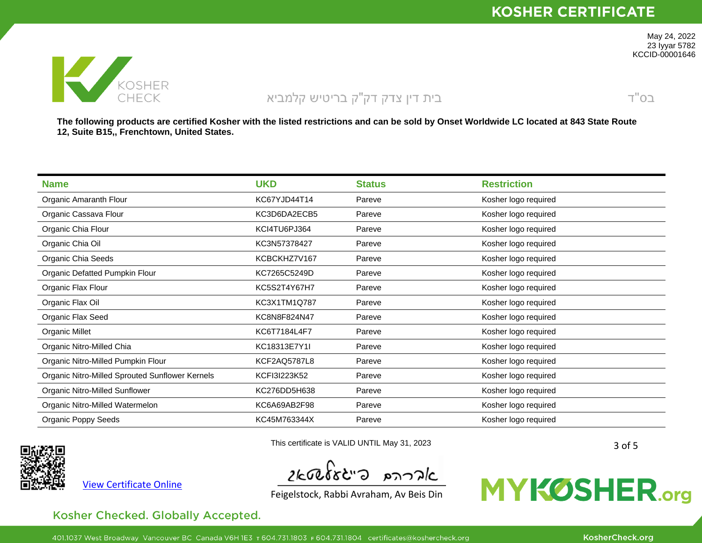

 $T''$ O $2$ 

May 24, 2022 23 Iyyar 5782 KCCID-00001646

The following products are certified Kosher with the listed restrictions and can be sold by Onset Worldwide LC located at 843 State Route **12, Suite B15,, Frenchtown, United States.**

| <b>Name</b>                                     | <b>UKD</b>          | <b>Status</b> | <b>Restriction</b>   |
|-------------------------------------------------|---------------------|---------------|----------------------|
| Organic Amaranth Flour                          | KC67YJD44T14        | Pareve        | Kosher logo required |
| Organic Cassava Flour                           | KC3D6DA2ECB5        | Pareve        | Kosher logo required |
| Organic Chia Flour                              | KCI4TU6PJ364        | Pareve        | Kosher logo required |
| Organic Chia Oil                                | KC3N57378427        | Pareve        | Kosher logo required |
| Organic Chia Seeds                              | KCBCKHZ7V167        | Pareve        | Kosher logo required |
| Organic Defatted Pumpkin Flour                  | KC7265C5249D        | Pareve        | Kosher logo required |
| Organic Flax Flour                              | KC5S2T4Y67H7        | Pareve        | Kosher logo required |
| Organic Flax Oil                                | KC3X1TM1Q787        | Pareve        | Kosher logo required |
| Organic Flax Seed                               | KC8N8F824N47        | Pareve        | Kosher logo required |
| Organic Millet                                  | KC6T7184L4F7        | Pareve        | Kosher logo required |
| Organic Nitro-Milled Chia                       | KC18313E7Y1I        | Pareve        | Kosher logo required |
| Organic Nitro-Milled Pumpkin Flour              | <b>KCF2AQ5787L8</b> | Pareve        | Kosher logo required |
| Organic Nitro-Milled Sprouted Sunflower Kernels | KCFI3I223K52        | Pareve        | Kosher logo required |
| Organic Nitro-Milled Sunflower                  | KC276DD5H638        | Pareve        | Kosher logo required |
| Organic Nitro-Milled Watermelon                 | KC6A69AB2F98        | Pareve        | Kosher logo required |
| Organic Poppy Seeds                             | KC45M763344X        | Pareve        | Kosher logo required |



View [Certificate](https://mykosher.org/s/certificate?certificateId=a0y1U000008k7eB) Online

 $2k$ tolst"a produ

This certificate is VALID UNTIL May 31, 2023

Feigelstock, Rabbi Avraham, Av Beis Din

# **MYKØSHER.org**

Kosher Checked. Globally Accepted.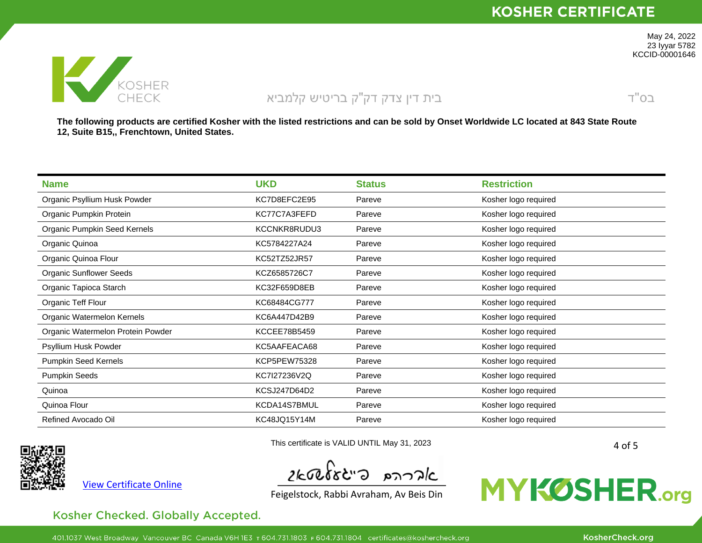

 $T''$ O $2$ 

May 24, 2022 23 Iyyar 5782 KCCID-00001646

The following products are certified Kosher with the listed restrictions and can be sold by Onset Worldwide LC located at 843 State Route **12, Suite B15,, Frenchtown, United States.**

| <b>Name</b>                       | <b>UKD</b>          | <b>Status</b> | <b>Restriction</b>   |
|-----------------------------------|---------------------|---------------|----------------------|
| Organic Psyllium Husk Powder      | KC7D8EFC2E95        | Pareve        | Kosher logo required |
| Organic Pumpkin Protein           | KC77C7A3FEFD        | Pareve        | Kosher logo required |
| Organic Pumpkin Seed Kernels      | KCCNKR8RUDU3        | Pareve        | Kosher logo required |
| Organic Quinoa                    | KC5784227A24        | Pareve        | Kosher logo required |
| Organic Quinoa Flour              | KC52TZ52JR57        | Pareve        | Kosher logo required |
| <b>Organic Sunflower Seeds</b>    | KCZ6585726C7        | Pareve        | Kosher logo required |
| Organic Tapioca Starch            | KC32F659D8EB        | Pareve        | Kosher logo required |
| Organic Teff Flour                | KC68484CG777        | Pareve        | Kosher logo required |
| Organic Watermelon Kernels        | KC6A447D42B9        | Pareve        | Kosher logo required |
| Organic Watermelon Protein Powder | <b>KCCEE78B5459</b> | Pareve        | Kosher logo required |
| Psyllium Husk Powder              | KC5AAFEACA68        | Pareve        | Kosher logo required |
| Pumpkin Seed Kernels              | KCP5PEW75328        | Pareve        | Kosher logo required |
| Pumpkin Seeds                     | KC7I27236V2Q        | Pareve        | Kosher logo required |
| Quinoa                            | KCSJ247D64D2        | Pareve        | Kosher logo required |
| Quinoa Flour                      | KCDA14S7BMUL        | Pareve        | Kosher logo required |
| Refined Avocado Oil               | KC48JQ15Y14M        | Pareve        | Kosher logo required |



View [Certificate](https://mykosher.org/s/certificate?certificateId=a0y1U000008k7eB) Online

 $2k$ tolst"a paralc

This certificate is VALID UNTIL May 31, 2023

Feigelstock, Rabbi Avraham, Av Beis Din

# **MYKØSHER.org**

Kosher Checked. Globally Accepted.